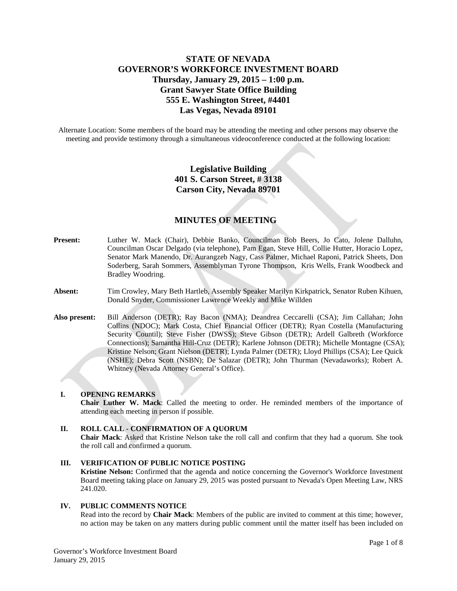## **STATE OF NEVADA GOVERNOR'S WORKFORCE INVESTMENT BOARD Thursday, January 29, 2015 – 1:00 p.m. Grant Sawyer State Office Building 555 E. Washington Street, #4401 Las Vegas, Nevada 89101**

Alternate Location: Some members of the board may be attending the meeting and other persons may observe the meeting and provide testimony through a simultaneous videoconference conducted at the following location:

# **Legislative Building 401 S. Carson Street, # 3138 Carson City, Nevada 89701**

## **MINUTES OF MEETING**

- **Present:** Luther W. Mack (Chair), Debbie Banko, Councilman Bob Beers, Jo Cato, Jolene Dalluhn, Councilman Oscar Delgado (via telephone), Pam Egan, Steve Hill, Collie Hutter, Horacio Lopez, Senator Mark Manendo, Dr. Aurangzeb Nagy, Cass Palmer, Michael Raponi, Patrick Sheets, Don Soderberg, Sarah Sommers, Assemblyman Tyrone Thompson, Kris Wells, Frank Woodbeck and Bradley Woodring.
- **Absent:** Tim Crowley, Mary Beth Hartleb, Assembly Speaker Marilyn Kirkpatrick, Senator Ruben Kihuen, Donald Snyder, Commissioner Lawrence Weekly and Mike Willden
- **Also present:** Bill Anderson (DETR); Ray Bacon (NMA); Deandrea Ceccarelli (CSA); Jim Callahan; John Collins (NDOC); Mark Costa, Chief Financial Officer (DETR); Ryan Costella (Manufacturing Security Countil); Steve Fisher (DWSS); Steve Gibson (DETR); Ardell Galbreth (Workforce Connections); Samantha Hill-Cruz (DETR); Karlene Johnson (DETR); Michelle Montagne (CSA); Kristine Nelson; Grant Nielson (DETR); Lynda Palmer (DETR); Lloyd Phillips (CSA); Lee Quick (NSHE); Debra Scott (NSBN); De Salazar (DETR); John Thurman (Nevadaworks); Robert A. Whitney (Nevada Attorney General's Office).

## **I. OPENING REMARKS**

**Chair Luther W. Mack**: Called the meeting to order. He reminded members of the importance of attending each meeting in person if possible.

## **II. ROLL CALL - CONFIRMATION OF A QUORUM**

**Chair Mack**: Asked that Kristine Nelson take the roll call and confirm that they had a quorum. She took the roll call and confirmed a quorum.

**III. VERIFICATION OF PUBLIC NOTICE POSTING Kristine Nelson:** Confirmed that the agenda and notice concerning the Governor's Workforce Investment Board meeting taking place on January 29, 2015 was posted pursuant to Nevada's Open Meeting Law, NRS 241.020.

## **IV. PUBLIC COMMENTS NOTICE**

Read into the record by **Chair Mack**: Members of the public are invited to comment at this time; however, no action may be taken on any matters during public comment until the matter itself has been included on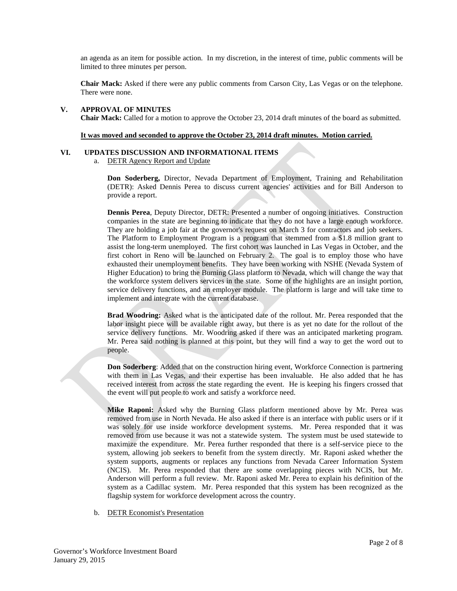an agenda as an item for possible action. In my discretion, in the interest of time, public comments will be limited to three minutes per person.

**Chair Mack:** Asked if there were any public comments from Carson City, Las Vegas or on the telephone. There were none.

#### **V. APPROVAL OF MINUTES Chair Mack:** Called for a motion to approve the October 23, 2014 draft minutes of the board as submitted.

#### **It was moved and seconded to approve the October 23, 2014 draft minutes. Motion carried.**

#### **VI. UPDATES DISCUSSION AND INFORMATIONAL ITEMS**

a. DETR Agency Report and Update

**Don Soderberg,** Director, Nevada Department of Employment, Training and Rehabilitation (DETR): Asked Dennis Perea to discuss current agencies' activities and for Bill Anderson to provide a report.

**Dennis Perea**, Deputy Director, DETR: Presented a number of ongoing initiatives. Construction companies in the state are beginning to indicate that they do not have a large enough workforce. They are holding a job fair at the governor's request on March 3 for contractors and job seekers. The Platform to Employment Program is a program that stemmed from a \$1.8 million grant to assist the long-term unemployed. The first cohort was launched in Las Vegas in October, and the first cohort in Reno will be launched on February 2. The goal is to employ those who have exhausted their unemployment benefits. They have been working with NSHE (Nevada System of Higher Education) to bring the Burning Glass platform to Nevada, which will change the way that the workforce system delivers services in the state. Some of the highlights are an insight portion, service delivery functions, and an employer module. The platform is large and will take time to implement and integrate with the current database.

**Brad Woodring:** Asked what is the anticipated date of the rollout. Mr. Perea responded that the labor insight piece will be available right away, but there is as yet no date for the rollout of the service delivery functions. Mr. Woodring asked if there was an anticipated marketing program. Mr. Perea said nothing is planned at this point, but they will find a way to get the word out to people.

**Don Soderberg**: Added that on the construction hiring event, Workforce Connection is partnering with them in Las Vegas, and their expertise has been invaluable. He also added that he has received interest from across the state regarding the event. He is keeping his fingers crossed that the event will put people to work and satisfy a workforce need.

**Mike Raponi:** Asked why the Burning Glass platform mentioned above by Mr. Perea was removed from use in North Nevada. He also asked if there is an interface with public users or if it was solely for use inside workforce development systems. Mr. Perea responded that it was removed from use because it was not a statewide system. The system must be used statewide to maximize the expenditure. Mr. Perea further responded that there is a self-service piece to the system, allowing job seekers to benefit from the system directly. Mr. Raponi asked whether the system supports, augments or replaces any functions from Nevada Career Information System (NCIS). Mr. Perea responded that there are some overlapping pieces with NCIS, but Mr. Anderson will perform a full review. Mr. Raponi asked Mr. Perea to explain his definition of the system as a Cadillac system. Mr. Perea responded that this system has been recognized as the flagship system for workforce development across the country.

b. DETR Economist's Presentation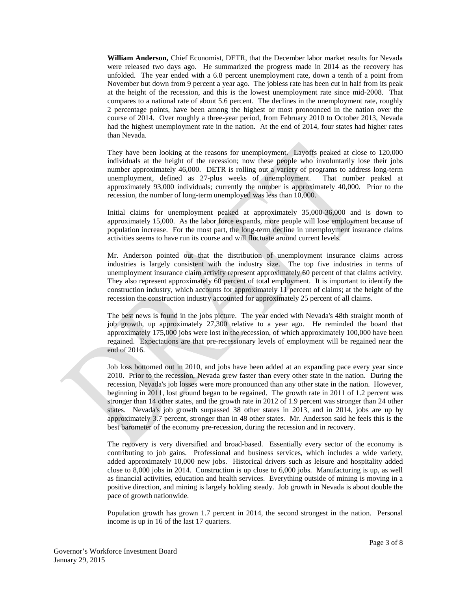**William Anderson,** Chief Economist, DETR, that the December labor market results for Nevada were released two days ago. He summarized the progress made in 2014 as the recovery has unfolded. The year ended with a 6.8 percent unemployment rate, down a tenth of a point from November but down from 9 percent a year ago. The jobless rate has been cut in half from its peak at the height of the recession, and this is the lowest unemployment rate since mid-2008. That compares to a national rate of about 5.6 percent. The declines in the unemployment rate, roughly 2 percentage points, have been among the highest or most pronounced in the nation over the course of 2014. Over roughly a three-year period, from February 2010 to October 2013, Nevada had the highest unemployment rate in the nation. At the end of 2014, four states had higher rates than Nevada.

They have been looking at the reasons for unemployment. Layoffs peaked at close to 120,000 individuals at the height of the recession; now these people who involuntarily lose their jobs number approximately 46,000. DETR is rolling out a variety of programs to address long-term unemployment, defined as 27-plus weeks of unemployment. That number peaked at approximately 93,000 individuals; currently the number is approximately 40,000. Prior to the recession, the number of long-term unemployed was less than 10,000.

Initial claims for unemployment peaked at approximately 35,000-36,000 and is down to approximately 15,000. As the labor force expands, more people will lose employment because of population increase. For the most part, the long-term decline in unemployment insurance claims activities seems to have run its course and will fluctuate around current levels.

Mr. Anderson pointed out that the distribution of unemployment insurance claims across industries is largely consistent with the industry size. The top five industries in terms of unemployment insurance claim activity represent approximately 60 percent of that claims activity. They also represent approximately 60 percent of total employment. It is important to identify the construction industry, which accounts for approximately 11 percent of claims; at the height of the recession the construction industry accounted for approximately 25 percent of all claims.

The best news is found in the jobs picture. The year ended with Nevada's 48th straight month of job growth, up approximately 27,300 relative to a year ago. He reminded the board that approximately 175,000 jobs were lost in the recession, of which approximately 100,000 have been regained. Expectations are that pre-recessionary levels of employment will be regained near the end of 2016.

Job loss bottomed out in 2010, and jobs have been added at an expanding pace every year since 2010. Prior to the recession, Nevada grew faster than every other state in the nation. During the recession, Nevada's job losses were more pronounced than any other state in the nation. However, beginning in 2011, lost ground began to be regained. The growth rate in 2011 of 1.2 percent was stronger than 14 other states, and the growth rate in 2012 of 1.9 percent was stronger than 24 other states. Nevada's job growth surpassed 38 other states in 2013, and in 2014, jobs are up by approximately 3.7 percent, stronger than in 48 other states. Mr. Anderson said he feels this is the best barometer of the economy pre-recession, during the recession and in recovery.

The recovery is very diversified and broad-based. Essentially every sector of the economy is contributing to job gains. Professional and business services, which includes a wide variety, added approximately 10,000 new jobs. Historical drivers such as leisure and hospitality added close to 8,000 jobs in 2014. Construction is up close to 6,000 jobs. Manufacturing is up, as well as financial activities, education and health services. Everything outside of mining is moving in a positive direction, and mining is largely holding steady. Job growth in Nevada is about double the pace of growth nationwide.

Population growth has grown 1.7 percent in 2014, the second strongest in the nation. Personal income is up in 16 of the last 17 quarters.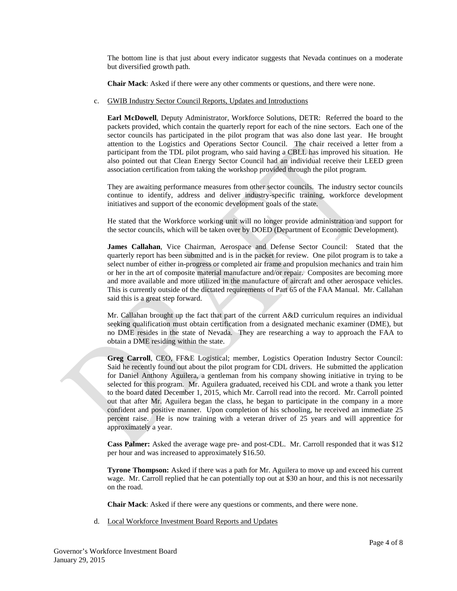The bottom line is that just about every indicator suggests that Nevada continues on a moderate but diversified growth path.

**Chair Mack**: Asked if there were any other comments or questions, and there were none.

c. GWIB Industry Sector Council Reports, Updates and Introductions

**Earl McDowell**, Deputy Administrator, Workforce Solutions, DETR: Referred the board to the packets provided, which contain the quarterly report for each of the nine sectors. Each one of the sector councils has participated in the pilot program that was also done last year. He brought attention to the Logistics and Operations Sector Council. The chair received a letter from a participant from the TDL pilot program, who said having a CBLL has improved his situation. He also pointed out that Clean Energy Sector Council had an individual receive their LEED green association certification from taking the workshop provided through the pilot program.

They are awaiting performance measures from other sector councils. The industry sector councils continue to identify, address and deliver industry-specific training, workforce development initiatives and support of the economic development goals of the state.

He stated that the Workforce working unit will no longer provide administration and support for the sector councils, which will be taken over by DOED (Department of Economic Development).

**James Callahan**, Vice Chairman, Aerospace and Defense Sector Council: Stated that the quarterly report has been submitted and is in the packet for review. One pilot program is to take a select number of either in-progress or completed air frame and propulsion mechanics and train him or her in the art of composite material manufacture and/or repair. Composites are becoming more and more available and more utilized in the manufacture of aircraft and other aerospace vehicles. This is currently outside of the dictated requirements of Part 65 of the FAA Manual. Mr. Callahan said this is a great step forward.

Mr. Callahan brought up the fact that part of the current A&D curriculum requires an individual seeking qualification must obtain certification from a designated mechanic examiner (DME), but no DME resides in the state of Nevada. They are researching a way to approach the FAA to obtain a DME residing within the state.

**Greg Carroll**, CEO, FF&E Logistical; member, Logistics Operation Industry Sector Council: Said he recently found out about the pilot program for CDL drivers. He submitted the application for Daniel Anthony Aguilera, a gentleman from his company showing initiative in trying to be selected for this program. Mr. Aguilera graduated, received his CDL and wrote a thank you letter to the board dated December 1, 2015, which Mr. Carroll read into the record. Mr. Carroll pointed out that after Mr. Aguilera began the class, he began to participate in the company in a more confident and positive manner. Upon completion of his schooling, he received an immediate 25 percent raise. He is now training with a veteran driver of 25 years and will apprentice for approximately a year.

**Cass Palmer:** Asked the average wage pre- and post-CDL. Mr. Carroll responded that it was \$12 per hour and was increased to approximately \$16.50.

**Tyrone Thompson:** Asked if there was a path for Mr. Aguilera to move up and exceed his current wage. Mr. Carroll replied that he can potentially top out at \$30 an hour, and this is not necessarily on the road.

**Chair Mack**: Asked if there were any questions or comments, and there were none.

d. Local Workforce Investment Board Reports and Updates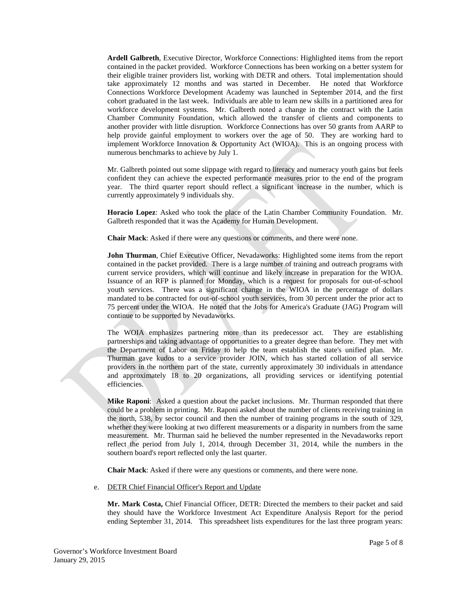**Ardell Galbreth**, Executive Director, Workforce Connections: Highlighted items from the report contained in the packet provided. Workforce Connections has been working on a better system for their eligible trainer providers list, working with DETR and others. Total implementation should take approximately 12 months and was started in December. He noted that Workforce Connections Workforce Development Academy was launched in September 2014, and the first cohort graduated in the last week. Individuals are able to learn new skills in a partitioned area for workforce development systems. Mr. Galbreth noted a change in the contract with the Latin Chamber Community Foundation, which allowed the transfer of clients and components to another provider with little disruption. Workforce Connections has over 50 grants from AARP to help provide gainful employment to workers over the age of 50. They are working hard to implement Workforce Innovation & Opportunity Act (WIOA). This is an ongoing process with numerous benchmarks to achieve by July 1.

Mr. Galbreth pointed out some slippage with regard to literacy and numeracy youth gains but feels confident they can achieve the expected performance measures prior to the end of the program year. The third quarter report should reflect a significant increase in the number, which is currently approximately 9 individuals shy.

**Horacio Lopez**: Asked who took the place of the Latin Chamber Community Foundation. Mr. Galbreth responded that it was the Academy for Human Development.

**Chair Mack**: Asked if there were any questions or comments, and there were none.

**John Thurman**, Chief Executive Officer, Nevadaworks: Highlighted some items from the report contained in the packet provided. There is a large number of training and outreach programs with current service providers, which will continue and likely increase in preparation for the WIOA. Issuance of an RFP is planned for Monday, which is a request for proposals for out-of-school youth services. There was a significant change in the WIOA in the percentage of dollars mandated to be contracted for out-of-school youth services, from 30 percent under the prior act to 75 percent under the WIOA. He noted that the Jobs for America's Graduate (JAG) Program will continue to be supported by Nevadaworks.

The WOIA emphasizes partnering more than its predecessor act. They are establishing partnerships and taking advantage of opportunities to a greater degree than before. They met with the Department of Labor on Friday to help the team establish the state's unified plan. Mr. Thurman gave kudos to a service provider JOIN, which has started collation of all service providers in the northern part of the state, currently approximately 30 individuals in attendance and approximately 18 to 20 organizations, all providing services or identifying potential efficiencies.

**Mike Raponi**: Asked a question about the packet inclusions. Mr. Thurman responded that there could be a problem in printing. Mr. Raponi asked about the number of clients receiving training in the north, 538, by sector council and then the number of training programs in the south of 329, whether they were looking at two different measurements or a disparity in numbers from the same measurement. Mr. Thurman said he believed the number represented in the Nevadaworks report reflect the period from July 1, 2014, through December 31, 2014, while the numbers in the southern board's report reflected only the last quarter.

**Chair Mack**: Asked if there were any questions or comments, and there were none.

e. DETR Chief Financial Officer's Report and Update

**Mr. Mark Costa,** Chief Financial Officer, DETR: Directed the members to their packet and said they should have the Workforce Investment Act Expenditure Analysis Report for the period ending September 31, 2014. This spreadsheet lists expenditures for the last three program years: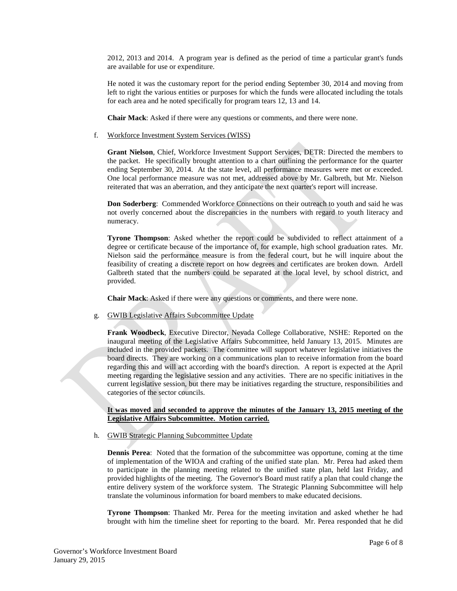2012, 2013 and 2014. A program year is defined as the period of time a particular grant's funds are available for use or expenditure.

He noted it was the customary report for the period ending September 30, 2014 and moving from left to right the various entities or purposes for which the funds were allocated including the totals for each area and he noted specifically for program tears 12, 13 and 14.

**Chair Mack**: Asked if there were any questions or comments, and there were none.

#### f. Workforce Investment System Services (WISS)

**Grant Nielson**, Chief, Workforce Investment Support Services, DETR: Directed the members to the packet. He specifically brought attention to a chart outlining the performance for the quarter ending September 30, 2014. At the state level, all performance measures were met or exceeded. One local performance measure was not met, addressed above by Mr. Galbreth, but Mr. Nielson reiterated that was an aberration, and they anticipate the next quarter's report will increase.

**Don Soderberg**: Commended Workforce Connections on their outreach to youth and said he was not overly concerned about the discrepancies in the numbers with regard to youth literacy and numeracy.

**Tyrone Thompson**: Asked whether the report could be subdivided to reflect attainment of a degree or certificate because of the importance of, for example, high school graduation rates. Mr. Nielson said the performance measure is from the federal court, but he will inquire about the feasibility of creating a discrete report on how degrees and certificates are broken down. Ardell Galbreth stated that the numbers could be separated at the local level, by school district, and provided.

**Chair Mack**: Asked if there were any questions or comments, and there were none.

g. GWIB Legislative Affairs Subcommittee Update

**Frank Woodbeck**, Executive Director, Nevada College Collaborative, NSHE: Reported on the inaugural meeting of the Legislative Affairs Subcommittee, held January 13, 2015. Minutes are included in the provided packets. The committee will support whatever legislative initiatives the board directs. They are working on a communications plan to receive information from the board regarding this and will act according with the board's direction. A report is expected at the April meeting regarding the legislative session and any activities. There are no specific initiatives in the current legislative session, but there may be initiatives regarding the structure, responsibilities and categories of the sector councils.

#### **It was moved and seconded to approve the minutes of the January 13, 2015 meeting of the Legislative Affairs Subcommittee. Motion carried.**

#### h. GWIB Strategic Planning Subcommittee Update

**Dennis Perea**: Noted that the formation of the subcommittee was opportune, coming at the time of implementation of the WIOA and crafting of the unified state plan. Mr. Perea had asked them to participate in the planning meeting related to the unified state plan, held last Friday, and provided highlights of the meeting. The Governor's Board must ratify a plan that could change the entire delivery system of the workforce system. The Strategic Planning Subcommittee will help translate the voluminous information for board members to make educated decisions.

**Tyrone Thompson**: Thanked Mr. Perea for the meeting invitation and asked whether he had brought with him the timeline sheet for reporting to the board. Mr. Perea responded that he did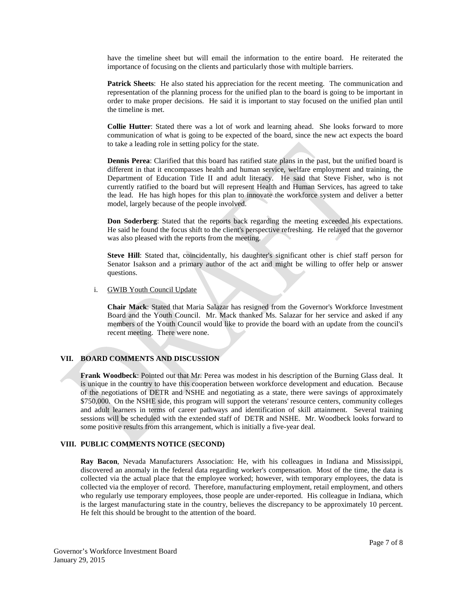have the timeline sheet but will email the information to the entire board. He reiterated the importance of focusing on the clients and particularly those with multiple barriers.

**Patrick Sheets:** He also stated his appreciation for the recent meeting. The communication and representation of the planning process for the unified plan to the board is going to be important in order to make proper decisions. He said it is important to stay focused on the unified plan until the timeline is met.

**Collie Hutter**: Stated there was a lot of work and learning ahead. She looks forward to more communication of what is going to be expected of the board, since the new act expects the board to take a leading role in setting policy for the state.

**Dennis Perea**: Clarified that this board has ratified state plans in the past, but the unified board is different in that it encompasses health and human service, welfare employment and training, the Department of Education Title II and adult literacy. He said that Steve Fisher, who is not currently ratified to the board but will represent Health and Human Services, has agreed to take the lead. He has high hopes for this plan to innovate the workforce system and deliver a better model, largely because of the people involved.

**Don Soderberg**: Stated that the reports back regarding the meeting exceeded his expectations. He said he found the focus shift to the client's perspective refreshing. He relayed that the governor was also pleased with the reports from the meeting.

**Steve Hill**: Stated that, coincidentally, his daughter's significant other is chief staff person for Senator Isakson and a primary author of the act and might be willing to offer help or answer questions.

#### i. GWIB Youth Council Update

**Chair Mack**: Stated that Maria Salazar has resigned from the Governor's Workforce Investment Board and the Youth Council. Mr. Mack thanked Ms. Salazar for her service and asked if any members of the Youth Council would like to provide the board with an update from the council's recent meeting. There were none.

## **VII. BOARD COMMENTS AND DISCUSSION**

**Frank Woodbeck**: Pointed out that Mr. Perea was modest in his description of the Burning Glass deal. It is unique in the country to have this cooperation between workforce development and education. Because of the negotiations of DETR and NSHE and negotiating as a state, there were savings of approximately \$750,000. On the NSHE side, this program will support the veterans' resource centers, community colleges and adult learners in terms of career pathways and identification of skill attainment. Several training sessions will be scheduled with the extended staff of DETR and NSHE. Mr. Woodbeck looks forward to some positive results from this arrangement, which is initially a five-year deal.

### **VIII. PUBLIC COMMENTS NOTICE (SECOND)**

**Ray Bacon**, Nevada Manufacturers Association: He, with his colleagues in Indiana and Mississippi, discovered an anomaly in the federal data regarding worker's compensation. Most of the time, the data is collected via the actual place that the employee worked; however, with temporary employees, the data is collected via the employer of record. Therefore, manufacturing employment, retail employment, and others who regularly use temporary employees, those people are under-reported. His colleague in Indiana, which is the largest manufacturing state in the country, believes the discrepancy to be approximately 10 percent. He felt this should be brought to the attention of the board.